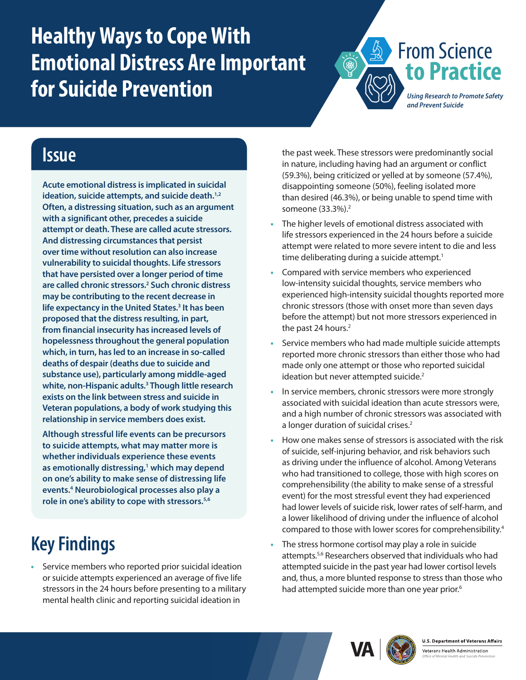# <span id="page-0-0"></span>**Healthy Ways to Cope With Emotional Distress Are Important for Suicide Prevention**



*Using Research to Promote Safety and Prevent Suicide*

#### **Issue**

**Acute emotional distress is implicated in suicidal ideation, suicide attempts, and suicide death.[1,2](#page-1-0) Often, a distressing situation, such as an argument with a significant other, precedes a suicide attempt or death. These are called acute stressors. And distressing circumstances that persist over time without resolution can also increase vulnerability to suicidal thoughts. Life stressors that have persisted over a longer period of time are called chronic stressors[.2](#page-1-1) Such chronic distress may be contributing to the recent decrease in life expectancy in the United States[.3](#page-1-0) It has been proposed that the distress resulting, in part, from financial insecurity has increased levels of hopelessness throughout the general population which, in turn, has led to an increase in so-called deaths of despair (deaths due to suicide and substance use), particularly among middle-aged white, non-Hispanic adults.[3](#page-1-2) Though little research exists on the link between stress and suicide in Veteran populations, a body of work studying this relationship in service members does exist.**

**Although stressful life events can be precursors to suicide attempts, what may matter more is whether individuals experience these events as emotionally distressing,[1](#page-1-3) which may depend on one's ability to make sense of distressing life events.[4](#page-1-0) Neurobiological processes also play a role in one's ability to cope with stressors.[5,6](#page-1-0)**

## **Key Findings**

**•** Service members who reported prior suicidal ideation or suicide attempts experienced an average of five life stressors in the 24 hours before presenting to a military mental health clinic and reporting suicidal ideation in

the past week. These stressors were predominantly social in nature, including having had an argument or conflict (59.3%), being criticized or yelled at by someone (57.4%), disappointing someone (50%), feeling isolated more than desired (46.3%), or being unable to spend time with someone (33.3%).<sup>2</sup>

- **•** The higher levels of emotional distress associated with life stressors experienced in the 24 hours before a suicide attempt were related to more severe intent to die and less time deliberating during a suicide attempt.<sup>1</sup>
- **•** Compared with service members who experienced low-intensity suicidal thoughts, service members who experienced high-intensity suicidal thoughts reported more chronic stressors (those with onset more than seven days before the attempt) but not more stressors experienced in the past 24 hours. $2$
- **•** Service members who had made multiple suicide attempts reported more chronic stressors than either those who had made only one attempt or those who reported suicidal ideation but never attempted suicide.<sup>[2](#page-1-1)</sup>
- **•** In service members, chronic stressors were more strongly associated with suicidal ideation than acute stressors were, and a high number of chronic stressors was associated with a longer duration of suicidal crises.<sup>2</sup>
- **•** How one makes sense of stressors is associated with the risk of suicide, self-injuring behavior, and risk behaviors such as driving under the influence of alcohol. Among Veterans who had transitioned to college, those with high scores on comprehensibility (the ability to make sense of a stressful event) for the most stressful event they had experienced had lower levels of suicide risk, lower rates of self-harm, and a lower likelihood of driving under the influence of alcohol compared to those with lower scores for comprehensibility.<sup>[4](#page-1-4)</sup>
- **•** The stress hormone cortisol may play a role in suicide attempts[.5](#page-1-5)[,6](#page-1-6) Researchers observed that individuals who had attempted suicide in the past year had lower cortisol levels and, thus, a more blunted response to stress than those who had attempted suicide more than one year prior.<sup>[6](#page-1-6)</sup>





Veterans Health Administration